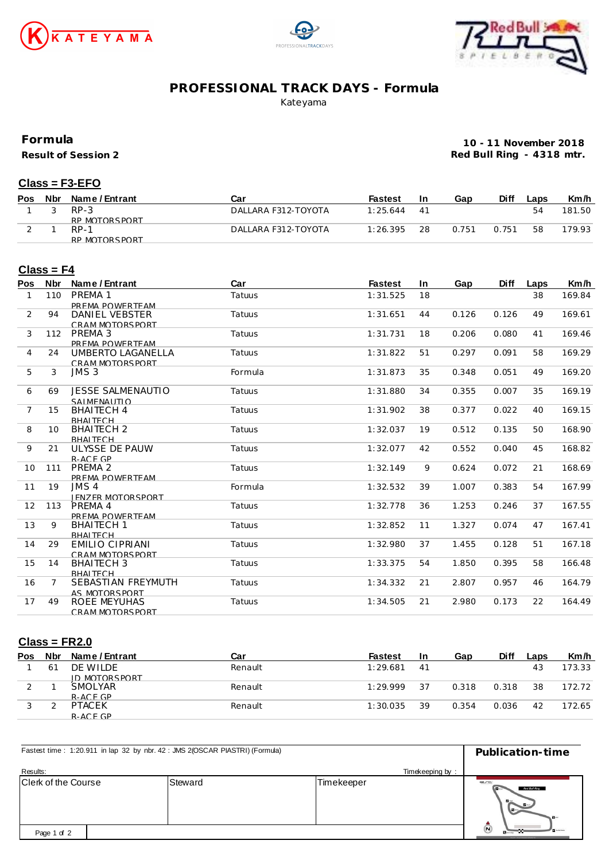





## **PROFESSIONAL TRACK DAYS - Formula**

Kateyama

**Formula**

**Result of Session 2**

**10 - 11 November 2018 Red Bull Ring - 4318 mtr.**

#### **Class = F3-EFO**

| <b>Pos</b> | Nbr | Name / Entrant | Car                 | Fastest  | In  | Gap   | Diff  | _aps | Km/h   |
|------------|-----|----------------|---------------------|----------|-----|-------|-------|------|--------|
|            |     | $RP-3$         | DALLARA F312-TOYOTA | 1:25.644 | -41 |       |       | 54   | 181.50 |
|            |     | RP MOTORSPORT  |                     |          |     |       |       |      |        |
|            |     | $RP-1$         | DALLARA F312-TOYOTA | 1:26.395 | 28  | 0.751 | 0.751 | 58   | 179.93 |
|            |     | RP MOTORSPORT  |                     |          |     |       |       |      |        |

#### **Class = F4**

| Pos          | <b>Nbr</b>     | Name / Entrant           | Car     | <b>Fastest</b> | <b>In</b> | Gap   | <b>Diff</b> | Laps | Km/h   |
|--------------|----------------|--------------------------|---------|----------------|-----------|-------|-------------|------|--------|
| $\mathbf{1}$ | 110            | PRFMA 1                  | Tatuus  | 1:31.525       | 18        |       |             | 38   | 169.84 |
|              |                | PREMA POWERTEAM          |         |                |           |       |             |      |        |
| 2            | 94             | DANIEL VEBSTER           | Tatuus  | 1:31.651       | 44        | 0.126 | 0.126       | 49   | 169.61 |
|              |                | CRAM MOTORSPORT          |         |                |           |       |             |      |        |
| 3            | 112            | PREMA 3                  | Tatuus  | 1:31.731       | 18        | 0.206 | 0.080       | 41   | 169.46 |
|              |                | PREMA POWERTEAM          |         |                |           |       |             |      |        |
| 4            | 24             | UMBERTO LAGANELLA        | Tatuus  | 1:31.822       | 51        | 0.297 | 0.091       | 58   | 169.29 |
|              |                | CRAM MOTORSPORT          |         |                |           |       |             |      |        |
| 5            | 3              | JMS3                     | Formula | 1:31.873       | 35        | 0.348 | 0.051       | 49   | 169.20 |
| 6            | 69             | <b>JESSE SALMENAUTIO</b> | Tatuus  | 1:31.880       | 34        | 0.355 | 0.007       | 35   | 169.19 |
|              |                | SAIMENAUTIO              |         |                |           |       |             |      |        |
| 7            | 15             | <b>BHAITECH 4</b>        | Tatuus  | 1:31.902       | 38        | 0.377 | 0.022       | 40   | 169.15 |
|              |                | <b>BHAITFCH</b>          |         |                |           |       |             |      |        |
| 8            | 10             | <b>BHAITECH 2</b>        | Tatuus  | 1:32.037       | 19        | 0.512 | 0.135       | 50   | 168.90 |
|              |                | <b>BHAITFCH</b>          |         |                |           |       |             |      |        |
| 9            | 21             | ULYSSE DE PAUW           | Tatuus  | 1:32.077       | 42        | 0.552 | 0.040       | 45   | 168.82 |
|              |                | R-ACF GP                 |         |                |           |       |             |      |        |
| 10           | 111            | PREMA <sub>2</sub>       | Tatuus  | 1:32.149       | 9         | 0.624 | 0.072       | 21   | 168.69 |
|              |                | PREMA POWERTEAM          |         |                |           |       |             |      |        |
| 11           | 19             | JMS 4                    | Formula | 1:32.532       | 39        | 1.007 | 0.383       | 54   | 167.99 |
|              |                | <b>IFNZFR MOTORSPORT</b> |         |                |           |       |             |      |        |
| 12           | 113            | PREMA 4                  | Tatuus  | 1:32.778       | 36        | 1.253 | 0.246       | 37   | 167.55 |
|              |                | PREMA POWERTEAM          |         |                |           |       |             |      |        |
| 13           | 9              | <b>BHAITECH 1</b>        | Tatuus  | 1:32.852       | 11        | 1.327 | 0.074       | 47   | 167.41 |
|              |                | <b>BHAITFCH</b>          |         |                |           |       |             |      |        |
| 14           | 29             | EMILIO CIPRIANI          | Tatuus  | 1:32.980       | 37        | 1.455 | 0.128       | 51   | 167.18 |
|              |                | CRAM MOTORSPORT          |         |                |           |       |             |      |        |
| 15           | 14             | <b>BHAITECH 3</b>        | Tatuus  | 1:33.375       | 54        | 1.850 | 0.395       | 58   | 166.48 |
|              |                | <b>BHAITFCH</b>          |         |                |           |       |             |      |        |
| 16           | $\overline{7}$ | SEBASTIAN FREYMUTH       | Tatuus  | 1:34.332       | 21        | 2.807 | 0.957       | 46   | 164.79 |
|              |                | AS MOTORSPORT            |         |                |           |       |             |      |        |
| 17           | 49             | ROEE MEYUHAS             | Tatuus  | 1:34.505       | 21        | 2.980 | 0.173       | 22   | 164.49 |
|              |                | CRAM MOTORSPORT          |         |                |           |       |             |      |        |

#### **Class = FR2.0**

| Pos | <b>Nbr</b> | Name / Entrant | Car     | Fastest  | -In | Gap   | <b>Diff</b> | Laps | Km/h   |
|-----|------------|----------------|---------|----------|-----|-------|-------------|------|--------|
|     | 61         | DE WILDE       | Renault | 1:29.681 | 41  |       |             | 43   | 173.33 |
|     |            | ID MOTORSPORT  |         |          |     |       |             |      |        |
|     |            | <b>SMOLYAR</b> | Renault | 1:29.999 | 37  | 0.318 | 0.318       | 38   | 172.72 |
|     |            | $R-ACFGP$      |         |          |     |       |             |      |        |
|     |            | <b>PTACEK</b>  | Renault | 1:30.035 | 39  | 0.354 | 0.036       | 42   | 172.65 |
|     |            | $R-ACFGP$      |         |          |     |       |             |      |        |

| Fastest time: 1:20.911 in lap 32 by nbr. 42 : JMS 2(OSCAR PIASTRI) (Formula) | Publication-time |                 |                                                                         |
|------------------------------------------------------------------------------|------------------|-----------------|-------------------------------------------------------------------------|
| Results:                                                                     |                  | Timekeeping by: |                                                                         |
| <b>Clerk of the Course</b>                                                   | Steward          | Timekeeper      | erc<br>Red Bull Ring<br>$B -$<br>$\blacksquare$                         |
| Page 1 of 2                                                                  |                  |                 | $\boldsymbol{\omega}$<br><b>Burney</b><br><b>IFLIORYS, HOWEV MONEYS</b> |